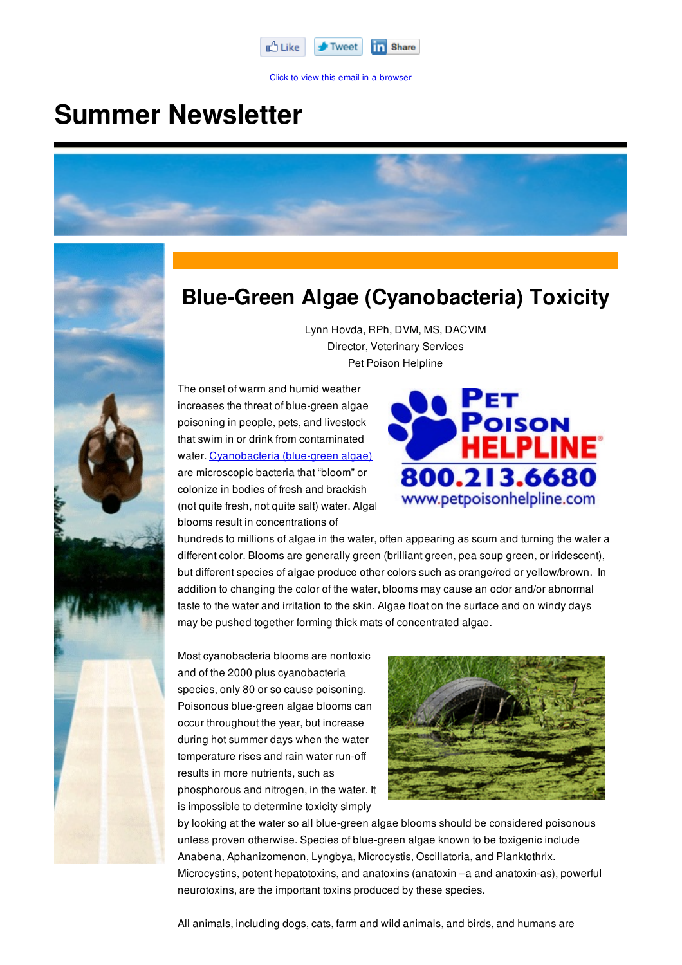

Click to view this email in a browser

## **Summer Newsletter**





## **Blue-Green Algae (Cyanobacteria) Toxicity**

Lynn Hovda, RPh, DVM, MS, DACVIM Director, Veterinary Services Pet Poison Helpline

The onset of warm and humid weather increases the threat of blue-green algae poisoning in people, pets, and livestock that swim in or drink from contaminated water. Cyanobacteria (blue-green algae) are microscopic bacteria that "bloom" or colonize in bodies of fresh and brackish (not quite fresh, not quite salt) water. Algal blooms result in concentrations of



hundreds to millions of algae in the water, often appearing as scum and turning the water a different color. Blooms are generally green (brilliant green, pea soup green, or iridescent), but different species of algae produce other colors such as orange/red or yellow/brown. In addition to changing the color of the water, blooms may cause an odor and/or abnormal taste to the water and irritation to the skin. Algae float on the surface and on windy days may be pushed together forming thick mats of concentrated algae.

Most cyanobacteria blooms are nontoxic and of the 2000 plus cyanobacteria species, only 80 or so cause poisoning. Poisonous blue-green algae blooms can occur throughout the year, but increase during hot summer days when the water temperature rises and rain water run-off results in more nutrients, such as phosphorous and nitrogen, in the water. It is impossible to determine toxicity simply



by looking at the water so all blue-green algae blooms should be considered poisonous unless proven otherwise. Species of blue-green algae known to be toxigenic include Anabena, Aphanizomenon, Lyngbya, Microcystis, Oscillatoria, and Planktothrix. Microcystins, potent hepatotoxins, and anatoxins (anatoxin –a and anatoxin-as), powerful neurotoxins, are the important toxins produced by these species.

All animals, including dogs, cats, farm and wild animals, and birds, and humans are